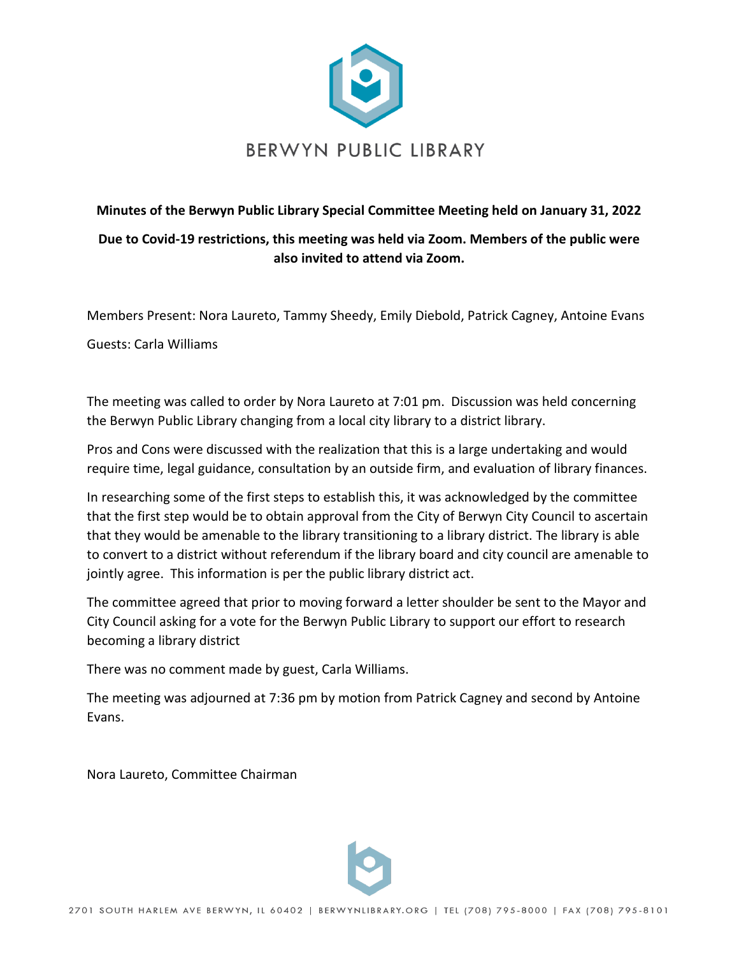

## **Minutes of the Berwyn Public Library Special Committee Meeting held on January 31, 2022 Due to Covid-19 restrictions, this meeting was held via Zoom. Members of the public were also invited to attend via Zoom.**

Members Present: Nora Laureto, Tammy Sheedy, Emily Diebold, Patrick Cagney, Antoine Evans

Guests: Carla Williams

The meeting was called to order by Nora Laureto at 7:01 pm. Discussion was held concerning the Berwyn Public Library changing from a local city library to a district library.

Pros and Cons were discussed with the realization that this is a large undertaking and would require time, legal guidance, consultation by an outside firm, and evaluation of library finances.

In researching some of the first steps to establish this, it was acknowledged by the committee that the first step would be to obtain approval from the City of Berwyn City Council to ascertain that they would be amenable to the library transitioning to a library district. The library is able to convert to a district without referendum if the library board and city council are amenable to jointly agree. This information is per the public library district act.

The committee agreed that prior to moving forward a letter shoulder be sent to the Mayor and City Council asking for a vote for the Berwyn Public Library to support our effort to research becoming a library district

There was no comment made by guest, Carla Williams.

The meeting was adjourned at 7:36 pm by motion from Patrick Cagney and second by Antoine Evans.

Nora Laureto, Committee Chairman